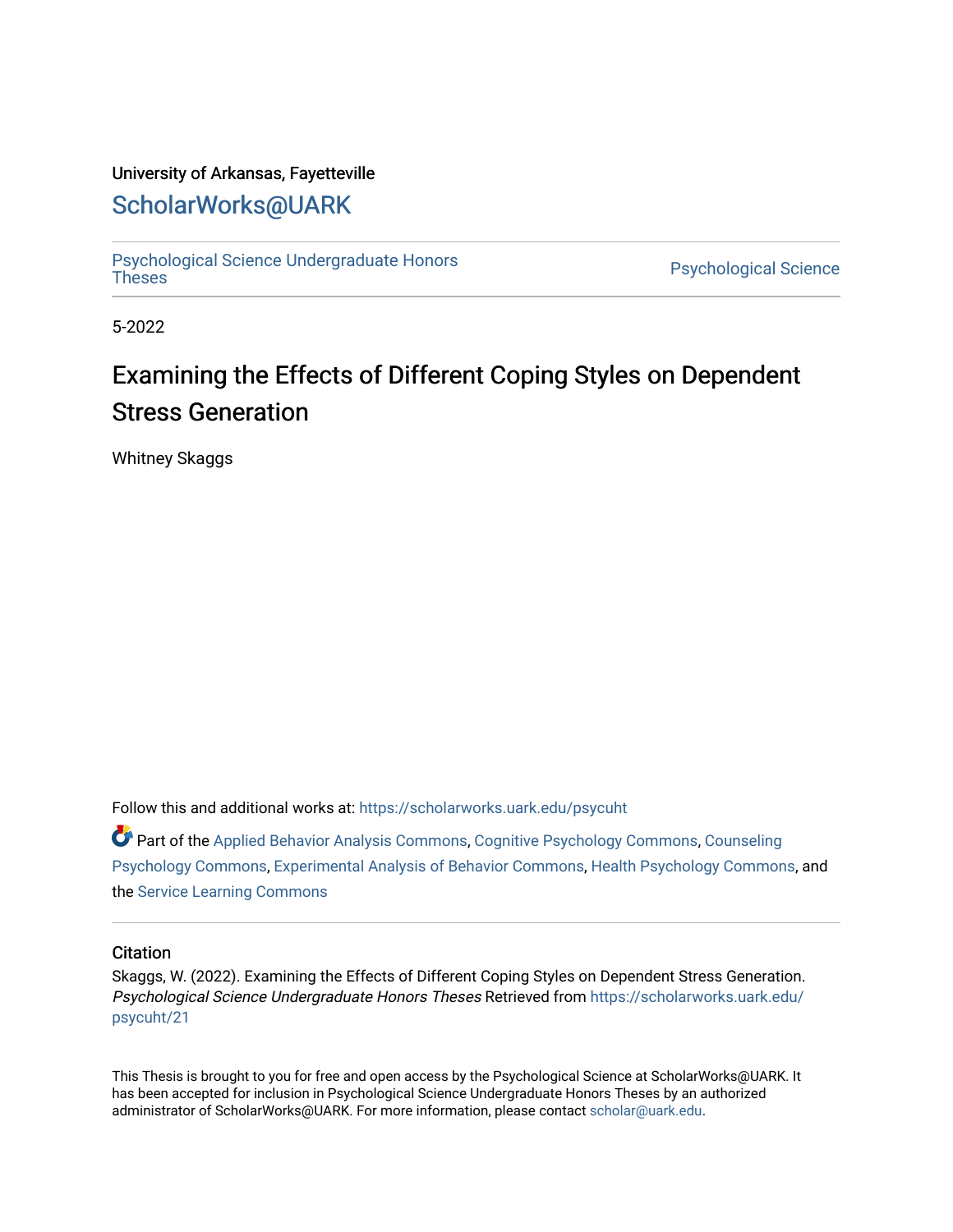#### University of Arkansas, Fayetteville

## [ScholarWorks@UARK](https://scholarworks.uark.edu/)

[Psychological Science Undergraduate Honors](https://scholarworks.uark.edu/psycuht) 

Psychological Science

5-2022

# Examining the Effects of Different Coping Styles on Dependent Stress Generation

Whitney Skaggs

Follow this and additional works at: [https://scholarworks.uark.edu/psycuht](https://scholarworks.uark.edu/psycuht?utm_source=scholarworks.uark.edu%2Fpsycuht%2F21&utm_medium=PDF&utm_campaign=PDFCoverPages)

Part of the [Applied Behavior Analysis Commons](http://network.bepress.com/hgg/discipline/1235?utm_source=scholarworks.uark.edu%2Fpsycuht%2F21&utm_medium=PDF&utm_campaign=PDFCoverPages), [Cognitive Psychology Commons,](http://network.bepress.com/hgg/discipline/408?utm_source=scholarworks.uark.edu%2Fpsycuht%2F21&utm_medium=PDF&utm_campaign=PDFCoverPages) [Counseling](http://network.bepress.com/hgg/discipline/1044?utm_source=scholarworks.uark.edu%2Fpsycuht%2F21&utm_medium=PDF&utm_campaign=PDFCoverPages)  [Psychology Commons,](http://network.bepress.com/hgg/discipline/1044?utm_source=scholarworks.uark.edu%2Fpsycuht%2F21&utm_medium=PDF&utm_campaign=PDFCoverPages) [Experimental Analysis of Behavior Commons](http://network.bepress.com/hgg/discipline/1236?utm_source=scholarworks.uark.edu%2Fpsycuht%2F21&utm_medium=PDF&utm_campaign=PDFCoverPages), [Health Psychology Commons](http://network.bepress.com/hgg/discipline/411?utm_source=scholarworks.uark.edu%2Fpsycuht%2F21&utm_medium=PDF&utm_campaign=PDFCoverPages), and the [Service Learning Commons](http://network.bepress.com/hgg/discipline/1024?utm_source=scholarworks.uark.edu%2Fpsycuht%2F21&utm_medium=PDF&utm_campaign=PDFCoverPages) 

#### **Citation**

Skaggs, W. (2022). Examining the Effects of Different Coping Styles on Dependent Stress Generation. Psychological Science Undergraduate Honors Theses Retrieved from [https://scholarworks.uark.edu/](https://scholarworks.uark.edu/psycuht/21?utm_source=scholarworks.uark.edu%2Fpsycuht%2F21&utm_medium=PDF&utm_campaign=PDFCoverPages) [psycuht/21](https://scholarworks.uark.edu/psycuht/21?utm_source=scholarworks.uark.edu%2Fpsycuht%2F21&utm_medium=PDF&utm_campaign=PDFCoverPages)

This Thesis is brought to you for free and open access by the Psychological Science at ScholarWorks@UARK. It has been accepted for inclusion in Psychological Science Undergraduate Honors Theses by an authorized administrator of ScholarWorks@UARK. For more information, please contact [scholar@uark.edu](mailto:scholar@uark.edu).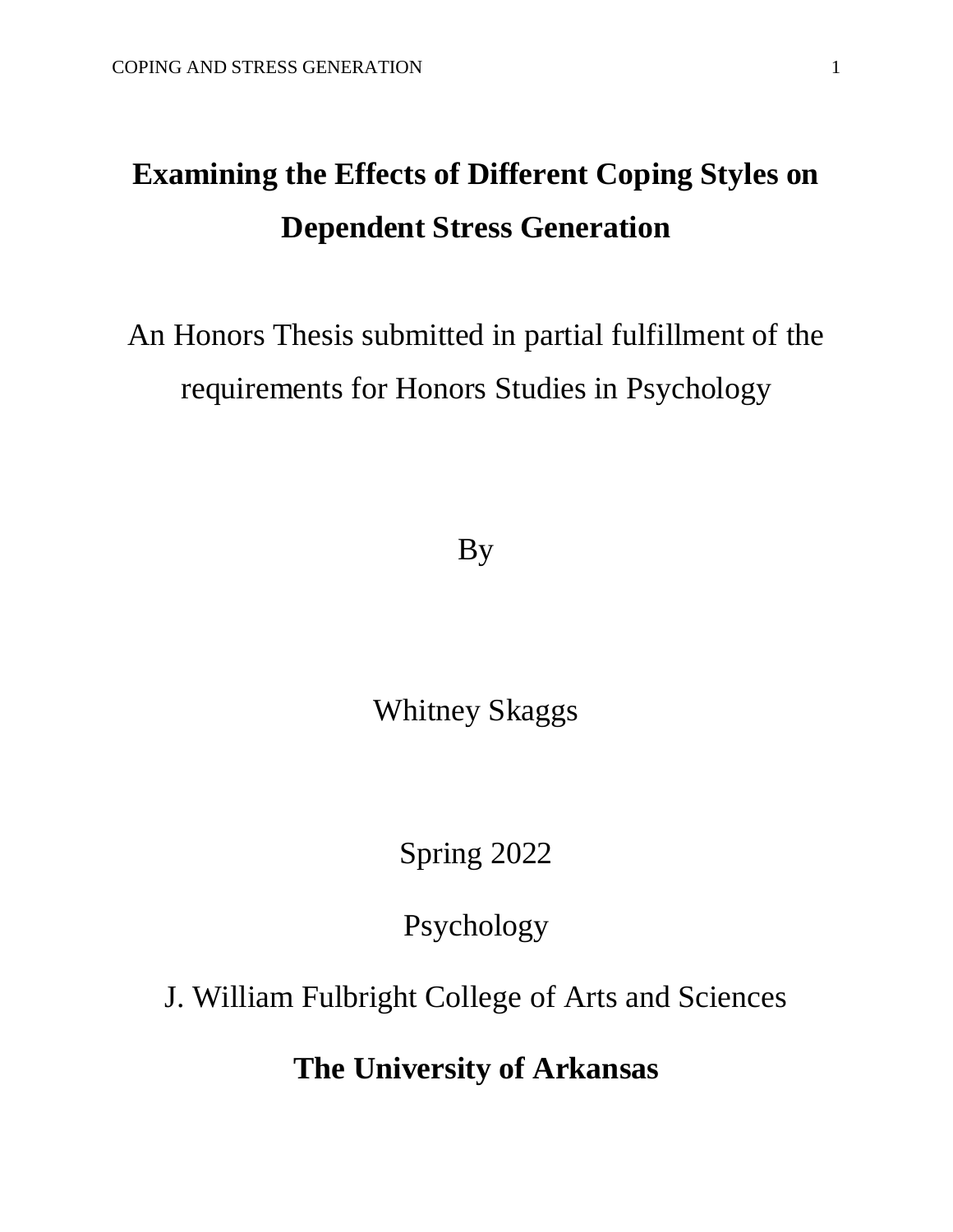# **Examining the Effects of Different Coping Styles on Dependent Stress Generation**

# An Honors Thesis submitted in partial fulfillment of the requirements for Honors Studies in Psychology

By

Whitney Skaggs

Spring 2022

Psychology

J. William Fulbright College of Arts and Sciences

**The University of Arkansas**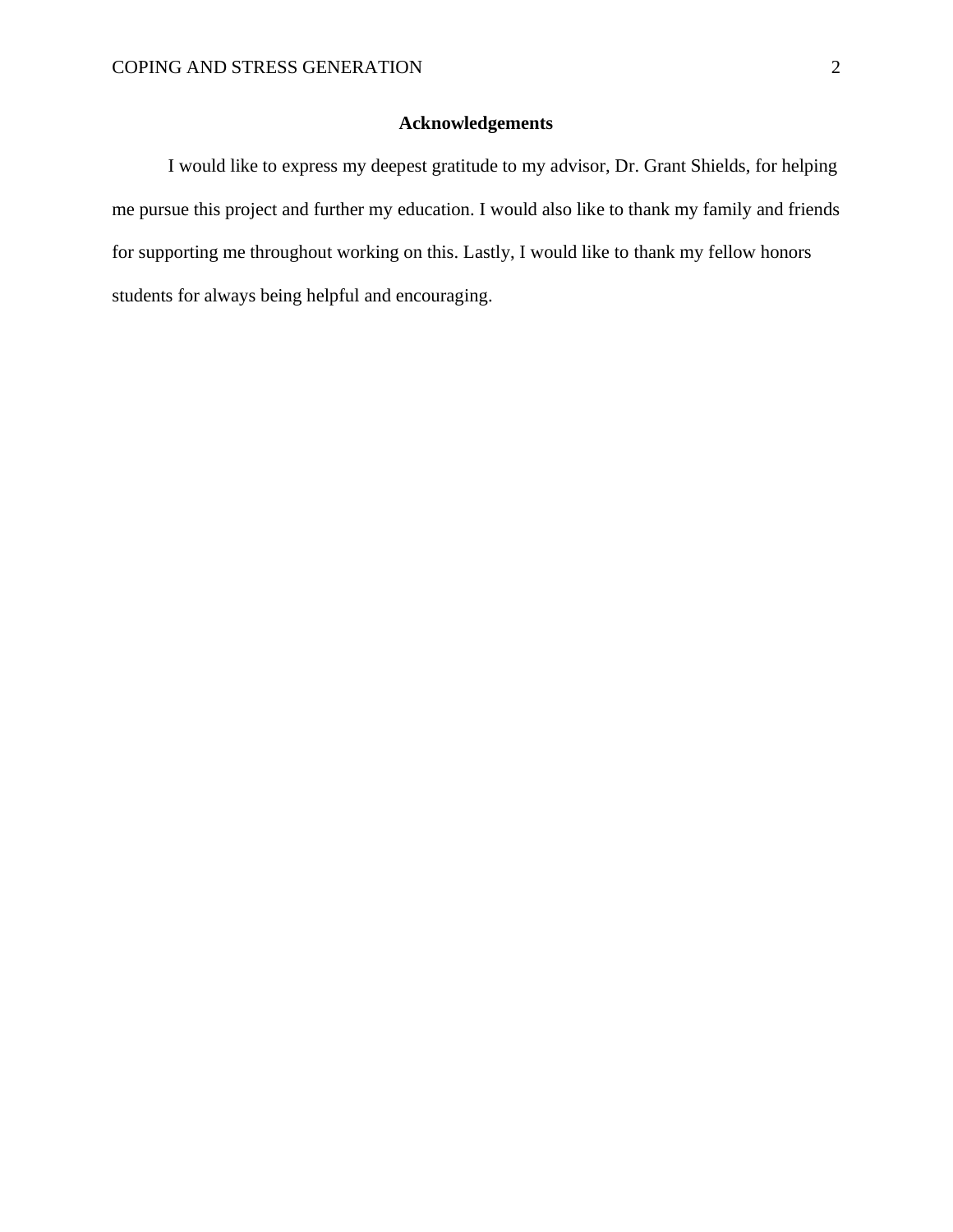### **Acknowledgements**

I would like to express my deepest gratitude to my advisor, Dr. Grant Shields, for helping me pursue this project and further my education. I would also like to thank my family and friends for supporting me throughout working on this. Lastly, I would like to thank my fellow honors students for always being helpful and encouraging.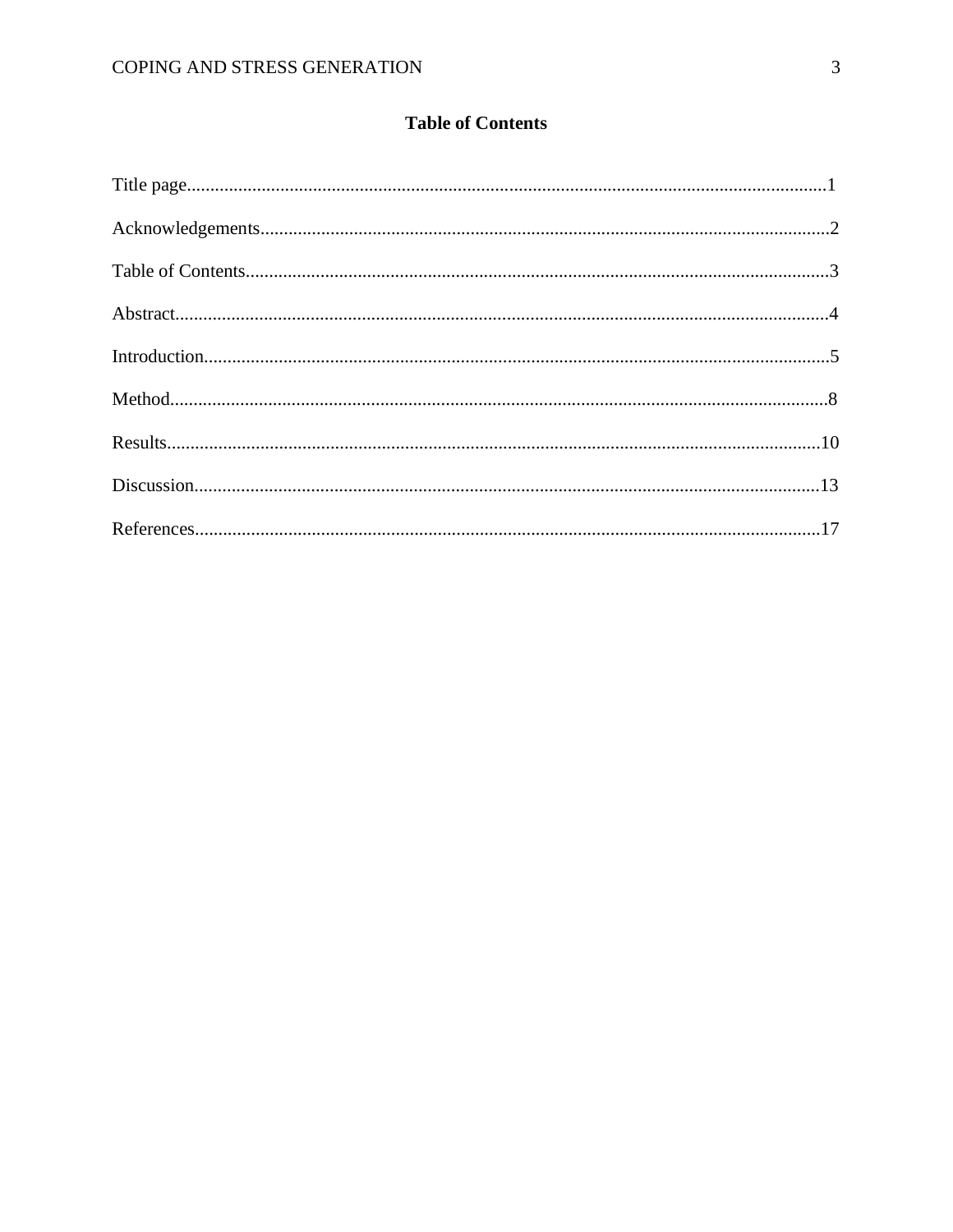### **Table of Contents**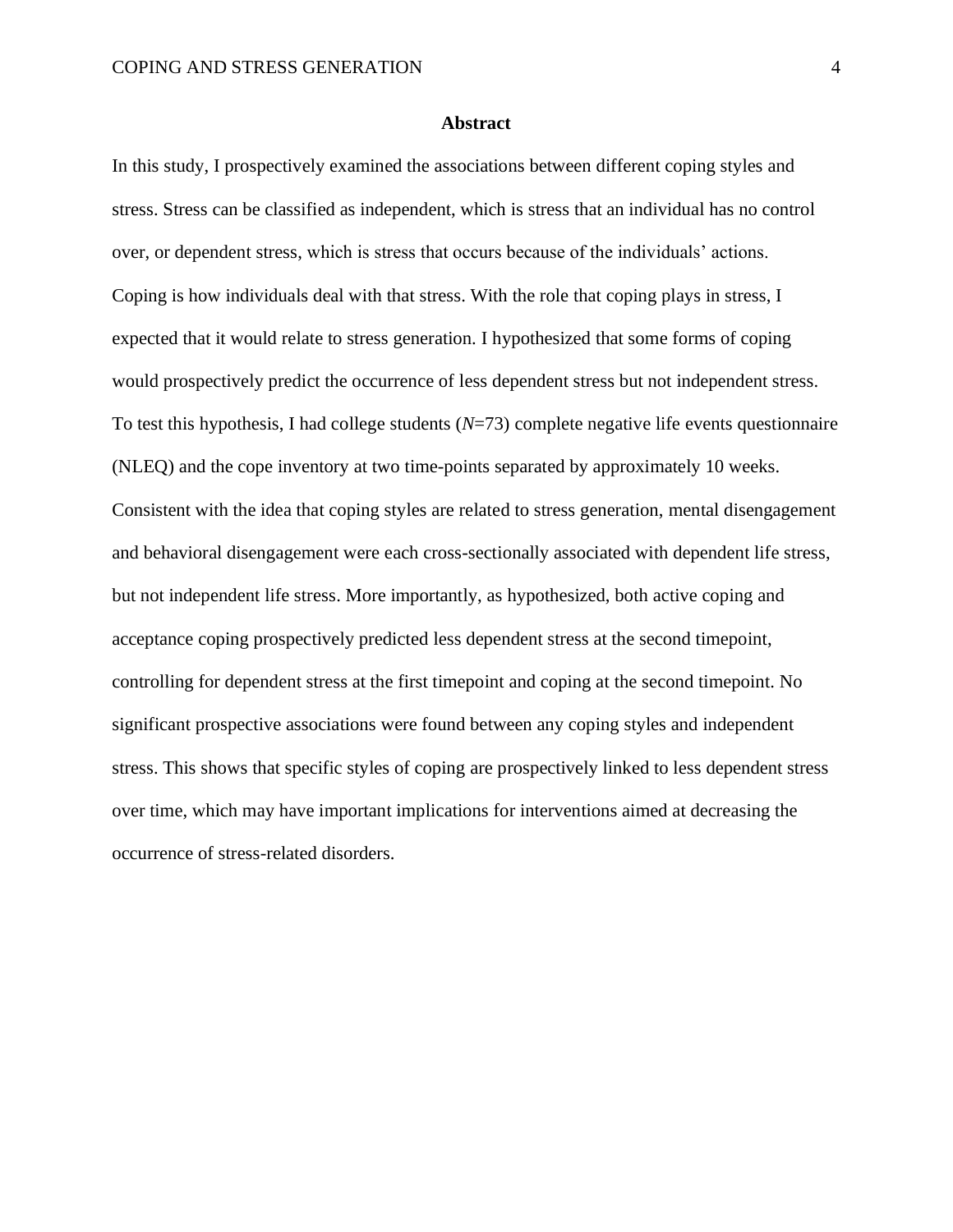#### **Abstract**

In this study, I prospectively examined the associations between different coping styles and stress. Stress can be classified as independent, which is stress that an individual has no control over, or dependent stress, which is stress that occurs because of the individuals' actions. Coping is how individuals deal with that stress. With the role that coping plays in stress, I expected that it would relate to stress generation. I hypothesized that some forms of coping would prospectively predict the occurrence of less dependent stress but not independent stress. To test this hypothesis, I had college students (*N*=73) complete negative life events questionnaire (NLEQ) and the cope inventory at two time-points separated by approximately 10 weeks. Consistent with the idea that coping styles are related to stress generation, mental disengagement and behavioral disengagement were each cross-sectionally associated with dependent life stress, but not independent life stress. More importantly, as hypothesized, both active coping and acceptance coping prospectively predicted less dependent stress at the second timepoint, controlling for dependent stress at the first timepoint and coping at the second timepoint. No significant prospective associations were found between any coping styles and independent stress. This shows that specific styles of coping are prospectively linked to less dependent stress over time, which may have important implications for interventions aimed at decreasing the occurrence of stress-related disorders.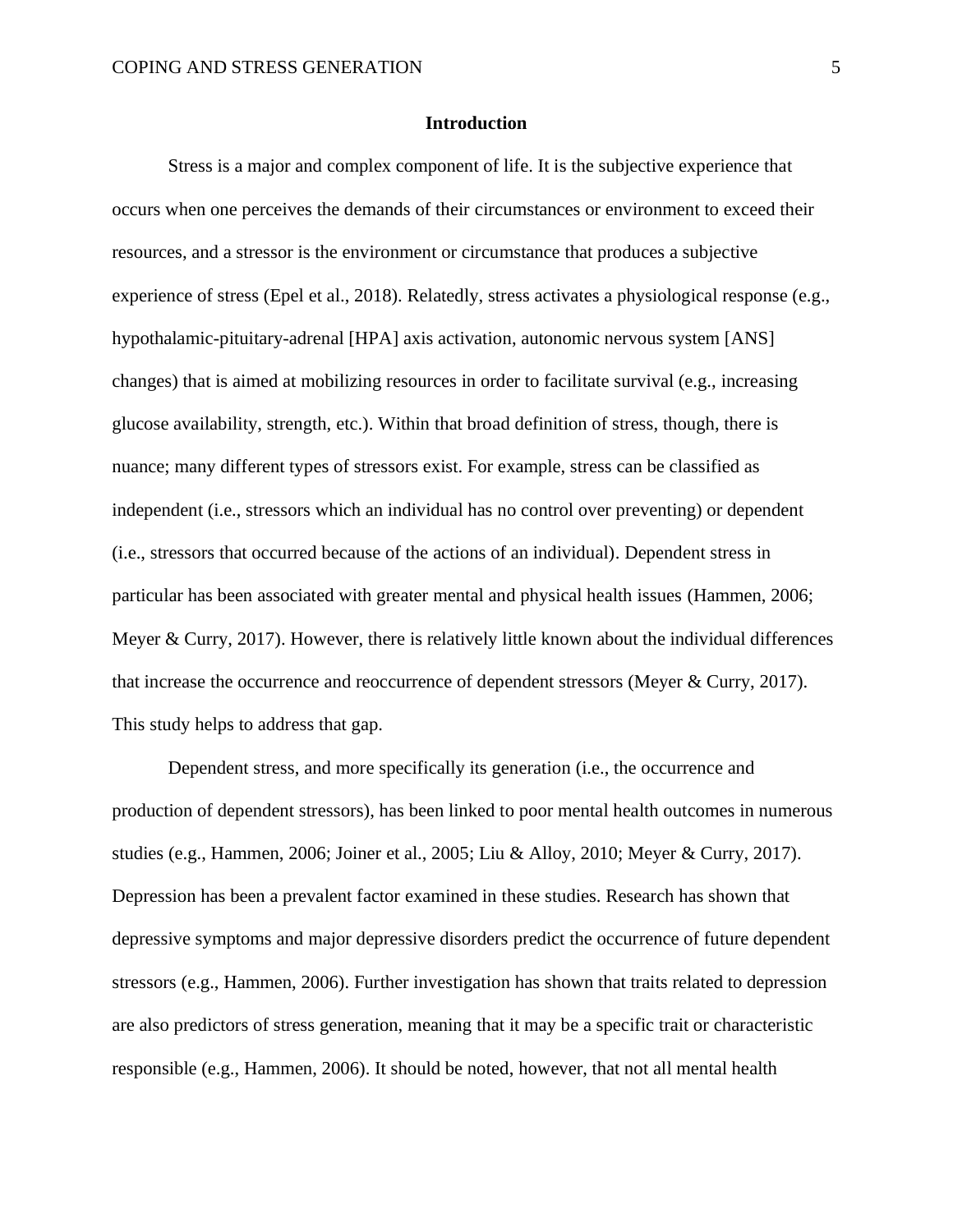#### **Introduction**

Stress is a major and complex component of life. It is the subjective experience that occurs when one perceives the demands of their circumstances or environment to exceed their resources, and a stressor is the environment or circumstance that produces a subjective experience of stress (Epel et al., 2018). Relatedly, stress activates a physiological response (e.g., hypothalamic-pituitary-adrenal [HPA] axis activation, autonomic nervous system [ANS] changes) that is aimed at mobilizing resources in order to facilitate survival (e.g., increasing glucose availability, strength, etc.). Within that broad definition of stress, though, there is nuance; many different types of stressors exist. For example, stress can be classified as independent (i.e., stressors which an individual has no control over preventing) or dependent (i.e., stressors that occurred because of the actions of an individual). Dependent stress in particular has been associated with greater mental and physical health issues (Hammen, 2006; Meyer & Curry, 2017). However, there is relatively little known about the individual differences that increase the occurrence and reoccurrence of dependent stressors (Meyer & Curry, 2017). This study helps to address that gap.

Dependent stress, and more specifically its generation (i.e., the occurrence and production of dependent stressors), has been linked to poor mental health outcomes in numerous studies (e.g., Hammen, 2006; Joiner et al., 2005; Liu & Alloy, 2010; Meyer & Curry, 2017). Depression has been a prevalent factor examined in these studies. Research has shown that depressive symptoms and major depressive disorders predict the occurrence of future dependent stressors (e.g., Hammen, 2006). Further investigation has shown that traits related to depression are also predictors of stress generation, meaning that it may be a specific trait or characteristic responsible (e.g., Hammen, 2006). It should be noted, however, that not all mental health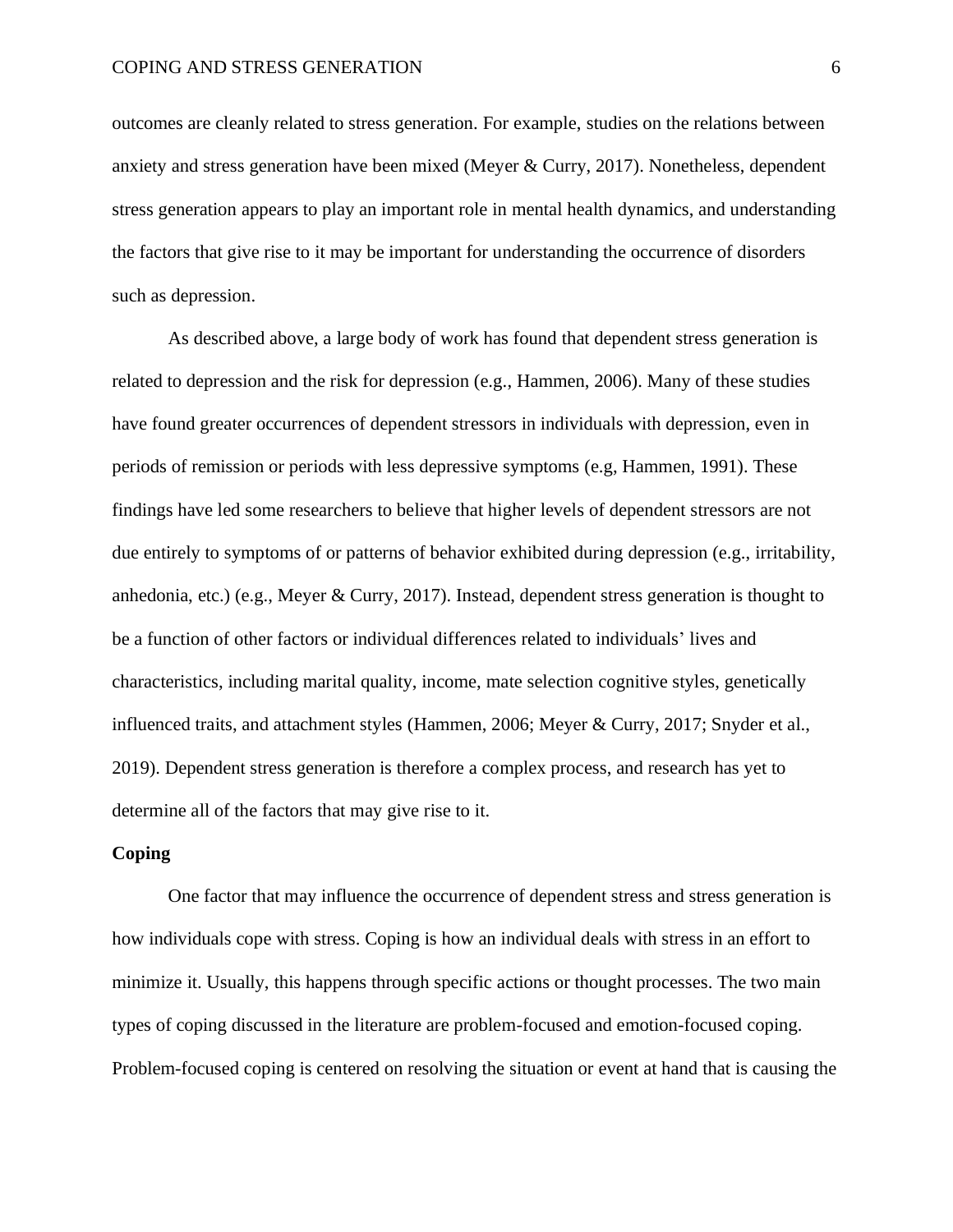outcomes are cleanly related to stress generation. For example, studies on the relations between anxiety and stress generation have been mixed (Meyer & Curry, 2017). Nonetheless, dependent stress generation appears to play an important role in mental health dynamics, and understanding the factors that give rise to it may be important for understanding the occurrence of disorders such as depression.

As described above, a large body of work has found that dependent stress generation is related to depression and the risk for depression (e.g., Hammen, 2006). Many of these studies have found greater occurrences of dependent stressors in individuals with depression, even in periods of remission or periods with less depressive symptoms (e.g, Hammen, 1991). These findings have led some researchers to believe that higher levels of dependent stressors are not due entirely to symptoms of or patterns of behavior exhibited during depression (e.g., irritability, anhedonia, etc.) (e.g., Meyer & Curry, 2017). Instead, dependent stress generation is thought to be a function of other factors or individual differences related to individuals' lives and characteristics, including marital quality, income, mate selection cognitive styles, genetically influenced traits, and attachment styles (Hammen, 2006; Meyer & Curry, 2017; Snyder et al., 2019). Dependent stress generation is therefore a complex process, and research has yet to determine all of the factors that may give rise to it.

#### **Coping**

One factor that may influence the occurrence of dependent stress and stress generation is how individuals cope with stress. Coping is how an individual deals with stress in an effort to minimize it. Usually, this happens through specific actions or thought processes. The two main types of coping discussed in the literature are problem-focused and emotion-focused coping. Problem-focused coping is centered on resolving the situation or event at hand that is causing the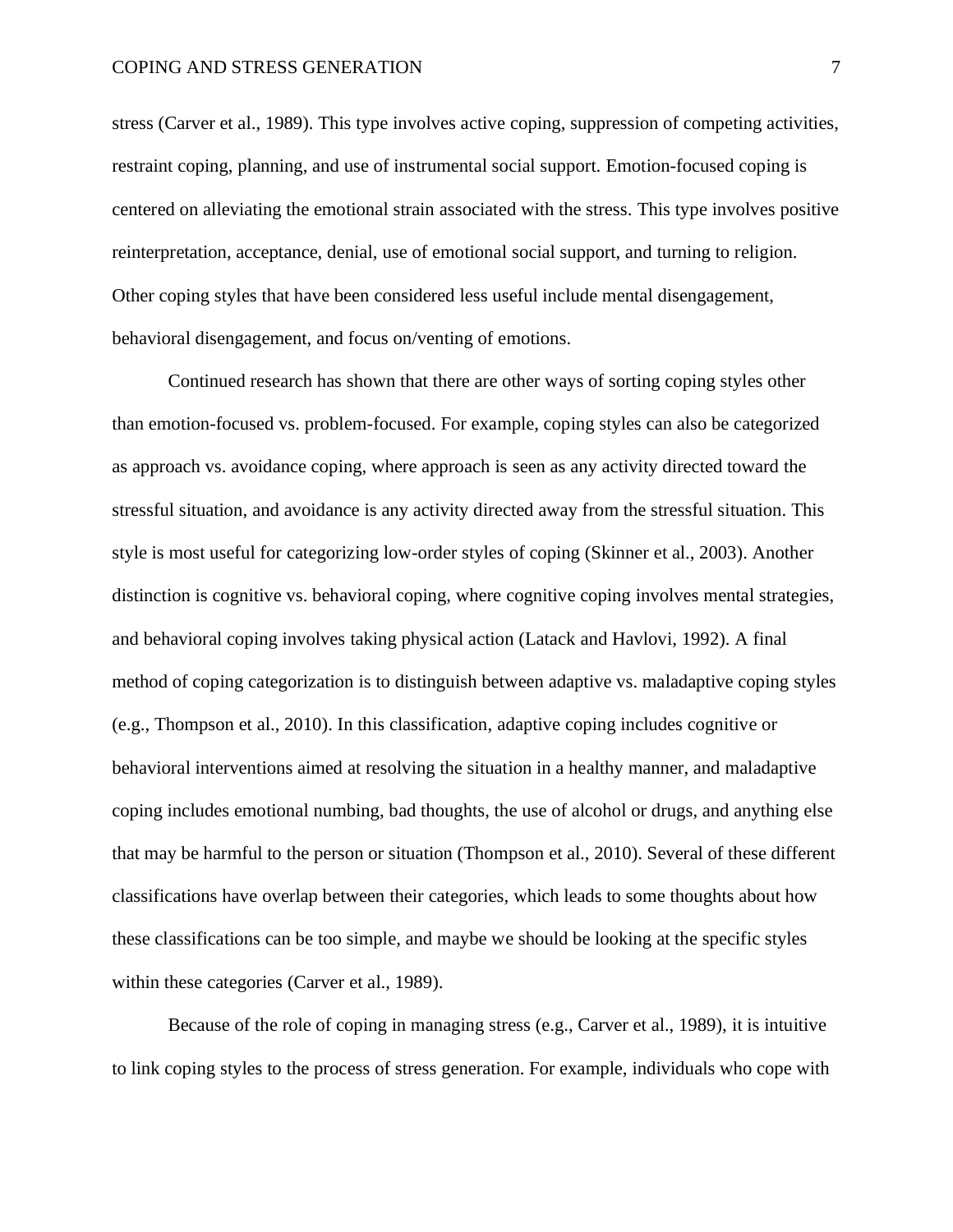stress (Carver et al., 1989). This type involves active coping, suppression of competing activities, restraint coping, planning, and use of instrumental social support. Emotion-focused coping is centered on alleviating the emotional strain associated with the stress. This type involves positive reinterpretation, acceptance, denial, use of emotional social support, and turning to religion. Other coping styles that have been considered less useful include mental disengagement, behavioral disengagement, and focus on/venting of emotions.

Continued research has shown that there are other ways of sorting coping styles other than emotion-focused vs. problem-focused. For example, coping styles can also be categorized as approach vs. avoidance coping, where approach is seen as any activity directed toward the stressful situation, and avoidance is any activity directed away from the stressful situation. This style is most useful for categorizing low-order styles of coping (Skinner et al., 2003). Another distinction is cognitive vs. behavioral coping, where cognitive coping involves mental strategies, and behavioral coping involves taking physical action (Latack and Havlovi, 1992). A final method of coping categorization is to distinguish between adaptive vs. maladaptive coping styles (e.g., Thompson et al., 2010). In this classification, adaptive coping includes cognitive or behavioral interventions aimed at resolving the situation in a healthy manner, and maladaptive coping includes emotional numbing, bad thoughts, the use of alcohol or drugs, and anything else that may be harmful to the person or situation (Thompson et al., 2010). Several of these different classifications have overlap between their categories, which leads to some thoughts about how these classifications can be too simple, and maybe we should be looking at the specific styles within these categories (Carver et al., 1989).

Because of the role of coping in managing stress (e.g., Carver et al., 1989), it is intuitive to link coping styles to the process of stress generation. For example, individuals who cope with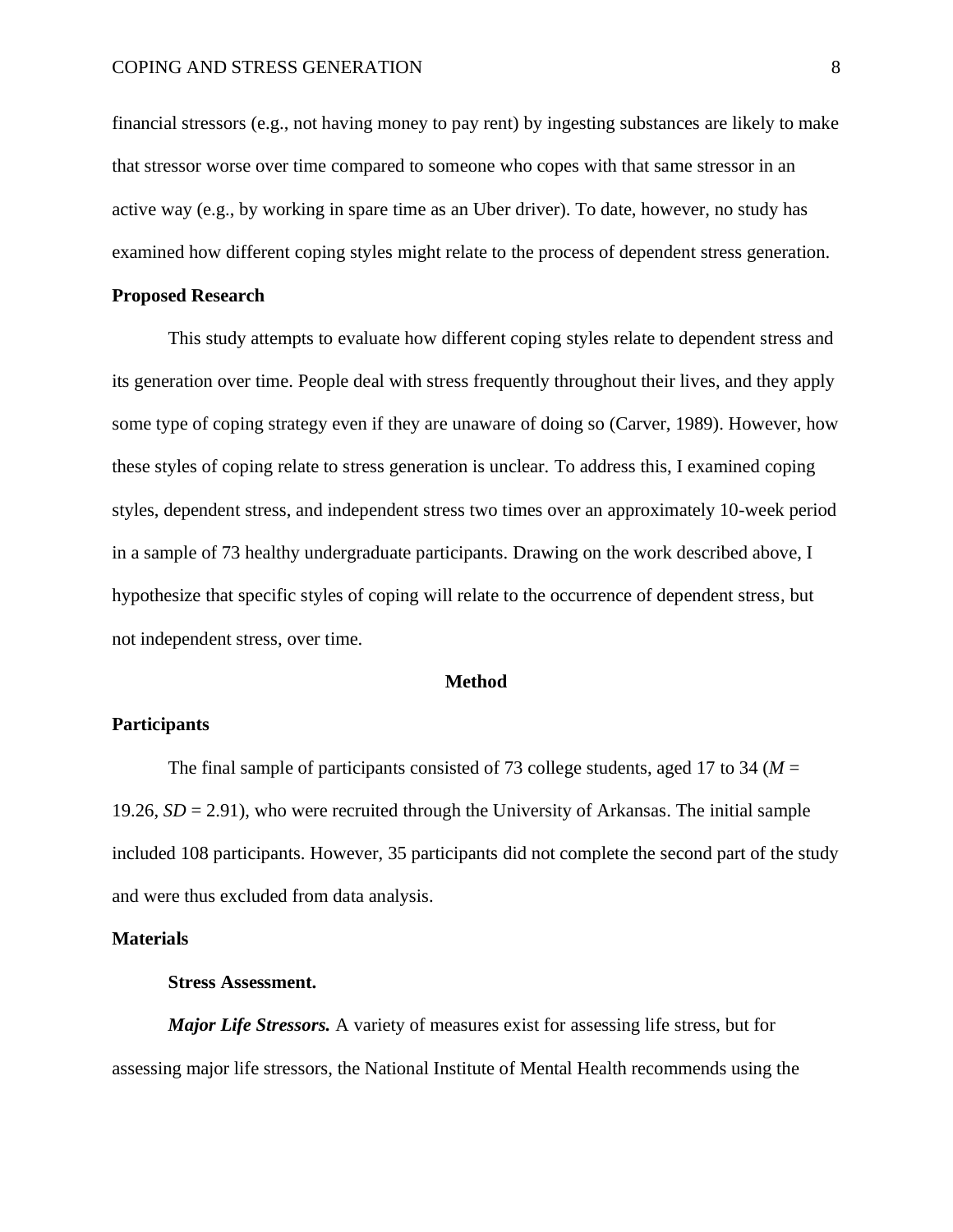financial stressors (e.g., not having money to pay rent) by ingesting substances are likely to make that stressor worse over time compared to someone who copes with that same stressor in an active way (e.g., by working in spare time as an Uber driver). To date, however, no study has examined how different coping styles might relate to the process of dependent stress generation.

#### **Proposed Research**

This study attempts to evaluate how different coping styles relate to dependent stress and its generation over time. People deal with stress frequently throughout their lives, and they apply some type of coping strategy even if they are unaware of doing so (Carver, 1989). However, how these styles of coping relate to stress generation is unclear. To address this, I examined coping styles, dependent stress, and independent stress two times over an approximately 10-week period in a sample of 73 healthy undergraduate participants. Drawing on the work described above, I hypothesize that specific styles of coping will relate to the occurrence of dependent stress, but not independent stress, over time.

#### **Method**

#### **Participants**

The final sample of participants consisted of 73 college students, aged 17 to 34 ( $M =$ 19.26, *SD* = 2.91), who were recruited through the University of Arkansas. The initial sample included 108 participants. However, 35 participants did not complete the second part of the study and were thus excluded from data analysis.

#### **Materials**

#### **Stress Assessment.**

*Major Life Stressors.* A variety of measures exist for assessing life stress, but for assessing major life stressors, the National Institute of Mental Health recommends using the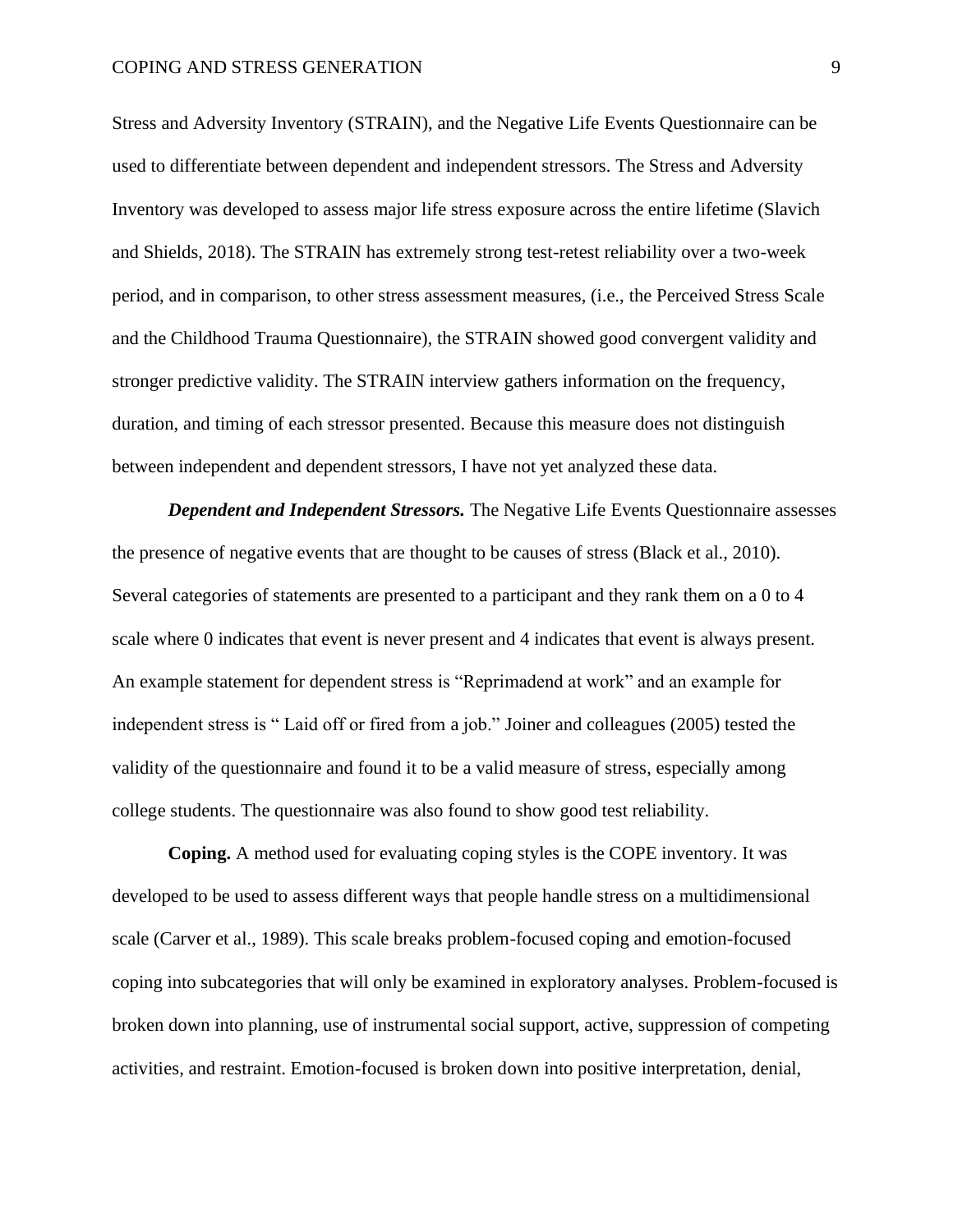Stress and Adversity Inventory (STRAIN), and the Negative Life Events Questionnaire can be used to differentiate between dependent and independent stressors. The Stress and Adversity Inventory was developed to assess major life stress exposure across the entire lifetime (Slavich and Shields, 2018). The STRAIN has extremely strong test-retest reliability over a two-week period, and in comparison, to other stress assessment measures, (i.e., the Perceived Stress Scale and the Childhood Trauma Questionnaire), the STRAIN showed good convergent validity and stronger predictive validity. The STRAIN interview gathers information on the frequency, duration, and timing of each stressor presented. Because this measure does not distinguish between independent and dependent stressors, I have not yet analyzed these data.

*Dependent and Independent Stressors.* The Negative Life Events Questionnaire assesses the presence of negative events that are thought to be causes of stress (Black et al., 2010). Several categories of statements are presented to a participant and they rank them on a 0 to 4 scale where 0 indicates that event is never present and 4 indicates that event is always present. An example statement for dependent stress is "Reprimadend at work" and an example for independent stress is " Laid off or fired from a job." Joiner and colleagues (2005) tested the validity of the questionnaire and found it to be a valid measure of stress, especially among college students. The questionnaire was also found to show good test reliability.

**Coping.** A method used for evaluating coping styles is the COPE inventory. It was developed to be used to assess different ways that people handle stress on a multidimensional scale (Carver et al., 1989). This scale breaks problem-focused coping and emotion-focused coping into subcategories that will only be examined in exploratory analyses. Problem-focused is broken down into planning, use of instrumental social support, active, suppression of competing activities, and restraint. Emotion-focused is broken down into positive interpretation, denial,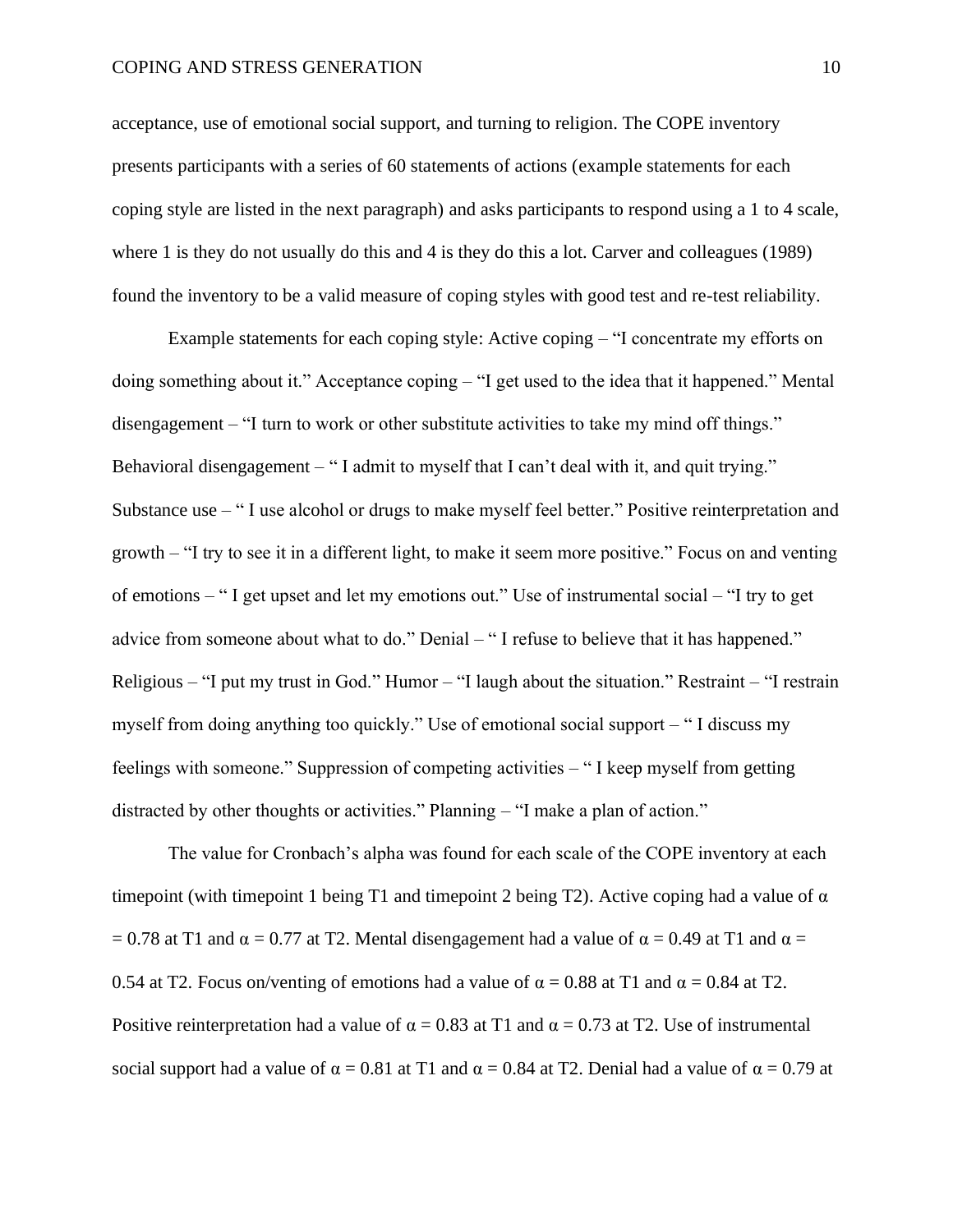acceptance, use of emotional social support, and turning to religion. The COPE inventory presents participants with a series of 60 statements of actions (example statements for each coping style are listed in the next paragraph) and asks participants to respond using a 1 to 4 scale, where 1 is they do not usually do this and 4 is they do this a lot. Carver and colleagues (1989) found the inventory to be a valid measure of coping styles with good test and re-test reliability.

Example statements for each coping style: Active coping – "I concentrate my efforts on doing something about it." Acceptance coping – "I get used to the idea that it happened." Mental disengagement – "I turn to work or other substitute activities to take my mind off things." Behavioral disengagement – "I admit to myself that I can't deal with it, and quit trying." Substance use – " I use alcohol or drugs to make myself feel better." Positive reinterpretation and growth – "I try to see it in a different light, to make it seem more positive." Focus on and venting of emotions – " I get upset and let my emotions out." Use of instrumental social – "I try to get advice from someone about what to do." Denial – " I refuse to believe that it has happened." Religious – "I put my trust in God." Humor – "I laugh about the situation." Restraint – "I restrain myself from doing anything too quickly." Use of emotional social support – " I discuss my feelings with someone." Suppression of competing activities – " I keep myself from getting distracted by other thoughts or activities." Planning – "I make a plan of action."

The value for Cronbach's alpha was found for each scale of the COPE inventory at each timepoint (with timepoint 1 being T1 and timepoint 2 being T2). Active coping had a value of  $\alpha$ = 0.78 at T1 and  $\alpha$  = 0.77 at T2. Mental disengagement had a value of  $\alpha$  = 0.49 at T1 and  $\alpha$  = 0.54 at T2. Focus on/venting of emotions had a value of  $\alpha = 0.88$  at T1 and  $\alpha = 0.84$  at T2. Positive reinterpretation had a value of  $\alpha = 0.83$  at T1 and  $\alpha = 0.73$  at T2. Use of instrumental social support had a value of  $\alpha = 0.81$  at T1 and  $\alpha = 0.84$  at T2. Denial had a value of  $\alpha = 0.79$  at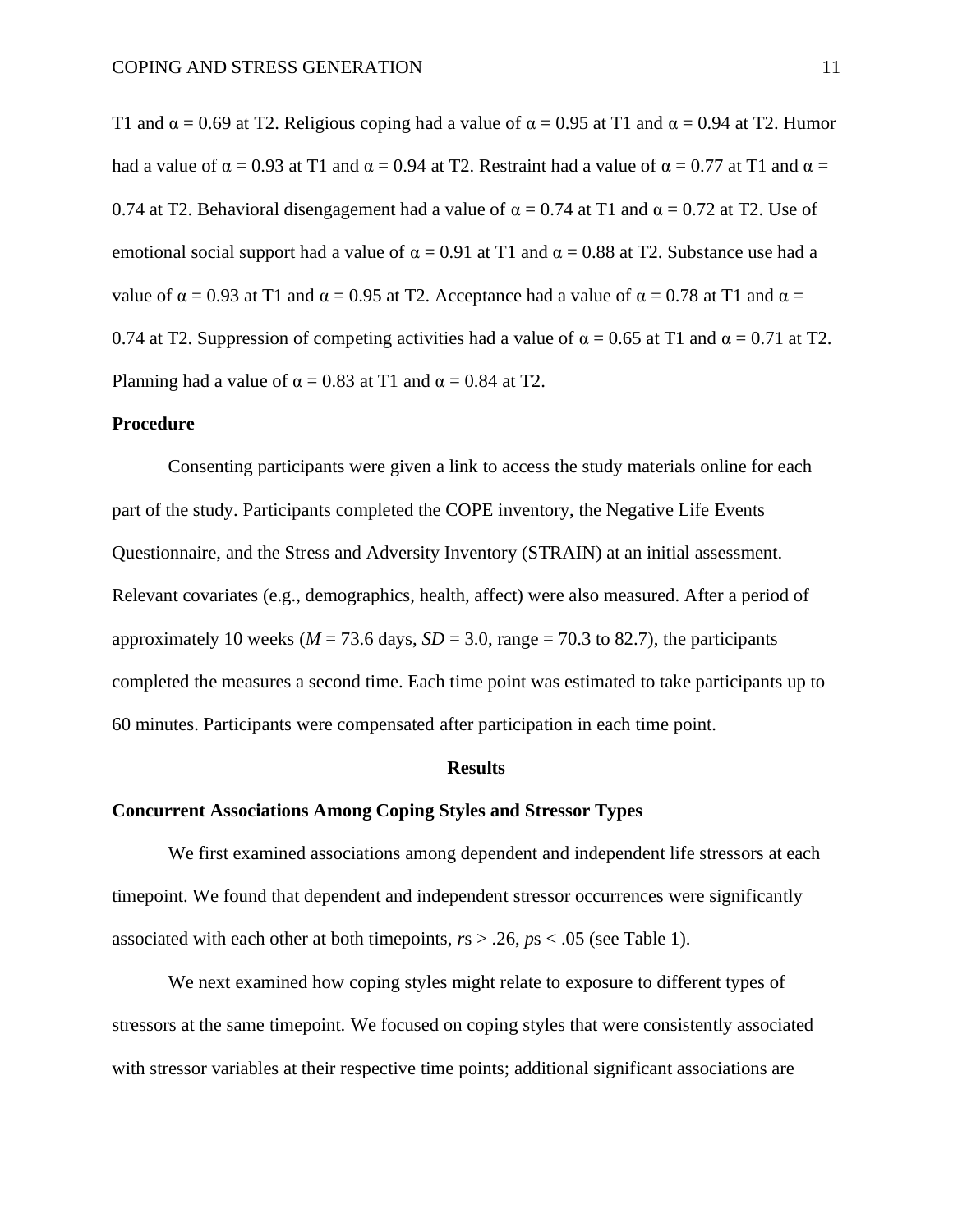T1 and  $\alpha$  = 0.69 at T2. Religious coping had a value of  $\alpha$  = 0.95 at T1 and  $\alpha$  = 0.94 at T2. Humor had a value of  $\alpha = 0.93$  at T1 and  $\alpha = 0.94$  at T2. Restraint had a value of  $\alpha = 0.77$  at T1 and  $\alpha =$ 0.74 at T2. Behavioral disengagement had a value of  $\alpha = 0.74$  at T1 and  $\alpha = 0.72$  at T2. Use of emotional social support had a value of  $\alpha = 0.91$  at T1 and  $\alpha = 0.88$  at T2. Substance use had a value of  $\alpha = 0.93$  at T1 and  $\alpha = 0.95$  at T2. Acceptance had a value of  $\alpha = 0.78$  at T1 and  $\alpha =$ 0.74 at T2. Suppression of competing activities had a value of  $\alpha = 0.65$  at T1 and  $\alpha = 0.71$  at T2. Planning had a value of  $\alpha = 0.83$  at T1 and  $\alpha = 0.84$  at T2.

#### **Procedure**

Consenting participants were given a link to access the study materials online for each part of the study. Participants completed the COPE inventory, the Negative Life Events Questionnaire, and the Stress and Adversity Inventory (STRAIN) at an initial assessment. Relevant covariates (e.g., demographics, health, affect) were also measured. After a period of approximately 10 weeks ( $M = 73.6$  days,  $SD = 3.0$ , range = 70.3 to 82.7), the participants completed the measures a second time. Each time point was estimated to take participants up to 60 minutes. Participants were compensated after participation in each time point.

#### **Results**

#### **Concurrent Associations Among Coping Styles and Stressor Types**

We first examined associations among dependent and independent life stressors at each timepoint. We found that dependent and independent stressor occurrences were significantly associated with each other at both timepoints, *r*s > .26, *p*s < .05 (see Table 1).

We next examined how coping styles might relate to exposure to different types of stressors at the same timepoint. We focused on coping styles that were consistently associated with stressor variables at their respective time points; additional significant associations are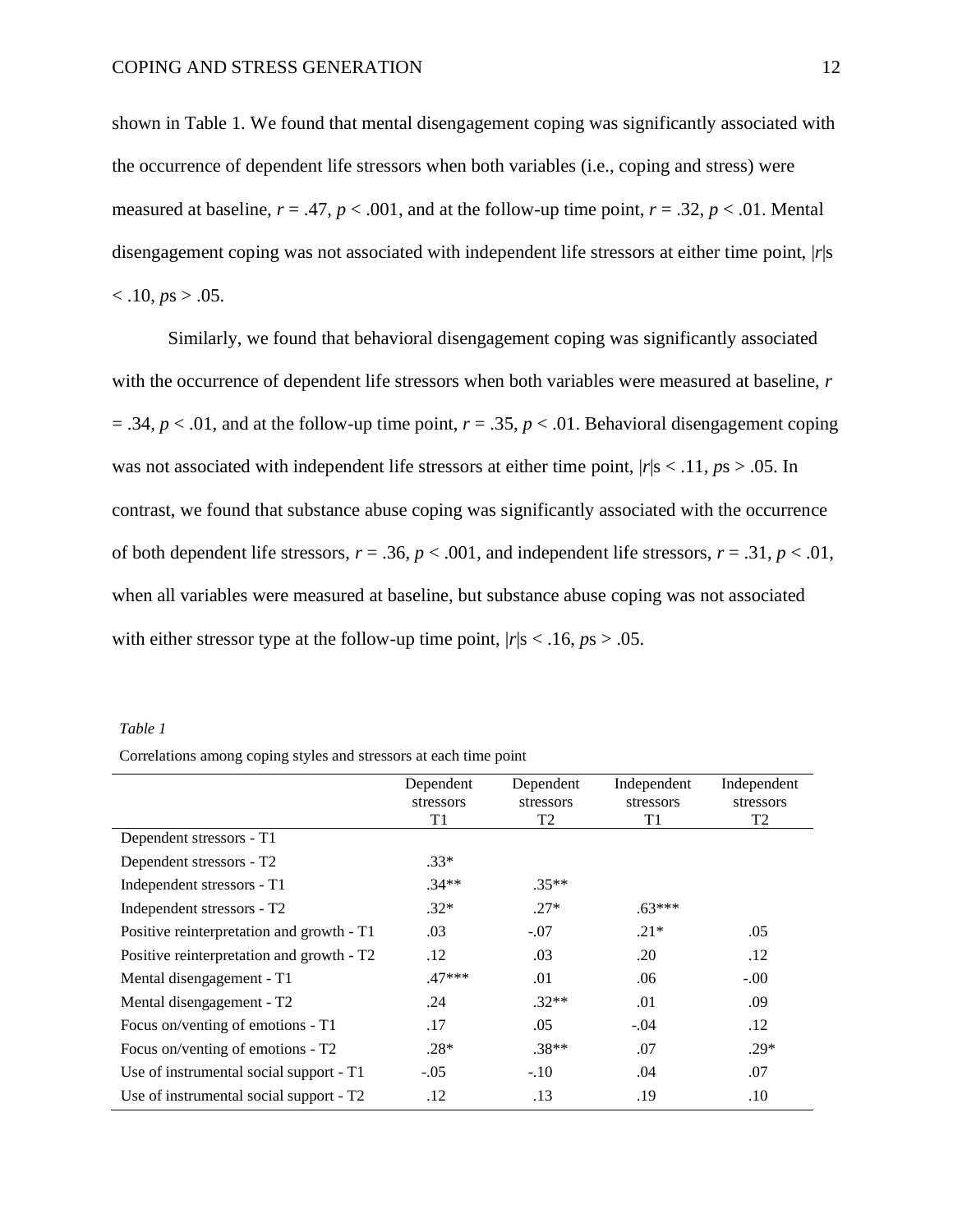shown in Table 1. We found that mental disengagement coping was significantly associated with the occurrence of dependent life stressors when both variables (i.e., coping and stress) were measured at baseline,  $r = .47$ ,  $p < .001$ , and at the follow-up time point,  $r = .32$ ,  $p < .01$ . Mental disengagement coping was not associated with independent life stressors at either time point, |*r*|s  $<$ .10,  $ps$   $>$ .05.

Similarly, we found that behavioral disengagement coping was significantly associated with the occurrence of dependent life stressors when both variables were measured at baseline, *r*  $= .34, p < .01$ , and at the follow-up time point,  $r = .35, p < .01$ . Behavioral disengagement coping was not associated with independent life stressors at either time point,  $|r|s < .11, ps > .05$ . In contrast, we found that substance abuse coping was significantly associated with the occurrence of both dependent life stressors,  $r = .36$ ,  $p < .001$ , and independent life stressors,  $r = .31$ ,  $p < .01$ , when all variables were measured at baseline, but substance abuse coping was not associated with either stressor type at the follow-up time point,  $|r|s < .16$ ,  $ps > .05$ .

|--|--|

| Correlations among coping styles and stressors at each time point |  |  |  |  |
|-------------------------------------------------------------------|--|--|--|--|
|                                                                   |  |  |  |  |

|                                           | Dependent | Dependent | Independent | Independent |
|-------------------------------------------|-----------|-----------|-------------|-------------|
|                                           | stressors | stressors | stressors   | stressors   |
|                                           | T1        | T2        | T1          | T2          |
| Dependent stressors - T1                  |           |           |             |             |
| Dependent stressors - T2                  | $.33*$    |           |             |             |
| Independent stressors - T1                | $.34**$   | $.35**$   |             |             |
| Independent stressors - T2                | $.32*$    | $.27*$    | $.63***$    |             |
| Positive reinterpretation and growth - T1 | .03       | $-.07$    | $.21*$      | .05         |
| Positive reinterpretation and growth - T2 | .12       | .03       | .20         | .12         |
| Mental disengagement - T1                 | $.47***$  | .01       | .06         | $-.00$      |
| Mental disengagement - T2                 | .24       | $.32**$   | .01         | .09         |
| Focus on/venting of emotions - T1         | .17       | .05       | $-.04$      | .12         |
| Focus on/venting of emotions - T2         | $.28*$    | $.38**$   | .07         | $.29*$      |
| Use of instrumental social support - T1   | $-.05$    | $-.10$    | .04         | .07         |
| Use of instrumental social support - T2   | .12       | .13       | .19         | .10         |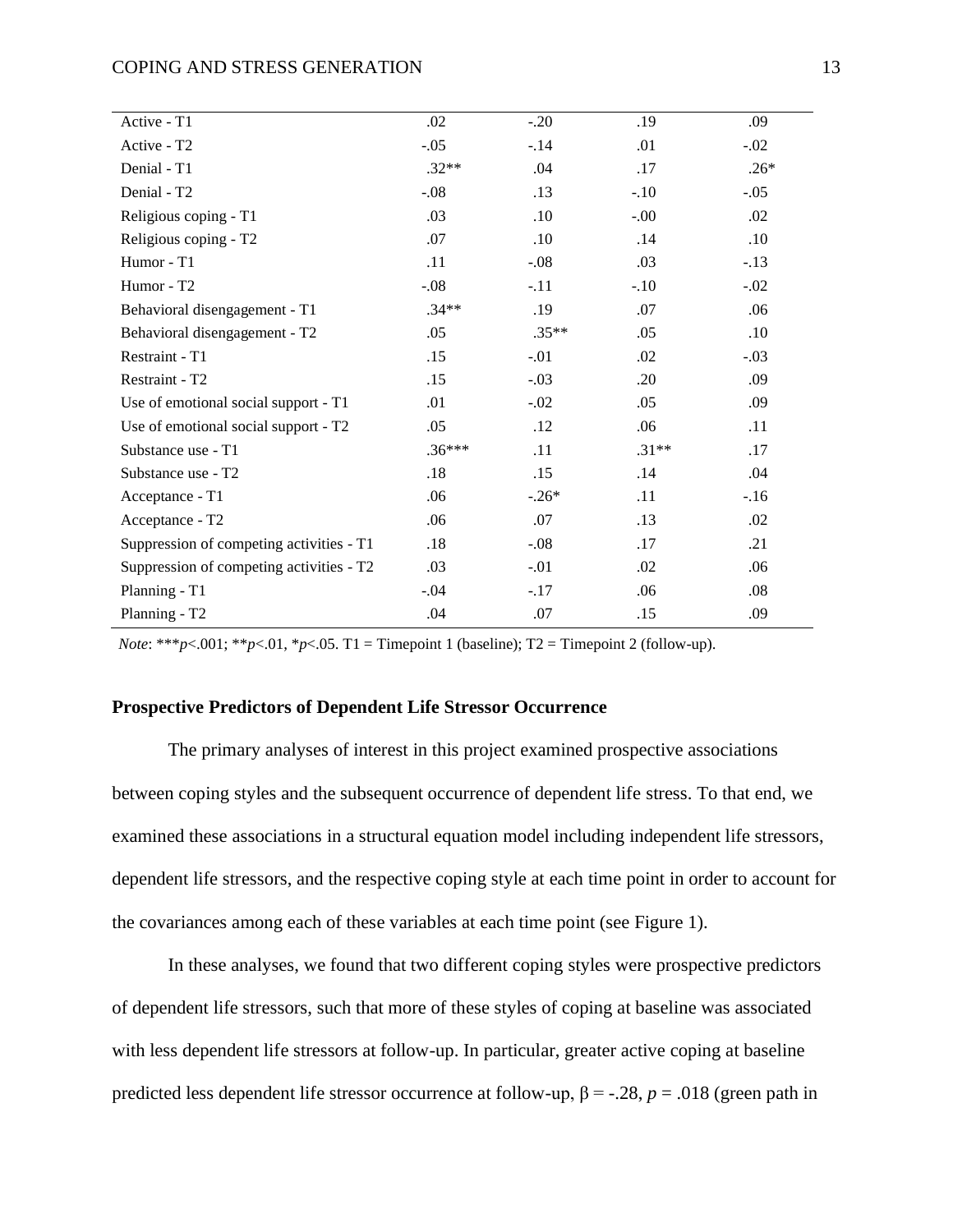| .02      | $-.20$  | .19     | .09    |
|----------|---------|---------|--------|
|          |         |         |        |
| $-.05$   | $-.14$  | .01     | $-.02$ |
| $.32**$  | .04     | .17     | $.26*$ |
| $-.08$   | .13     | $-.10$  | $-.05$ |
| .03      | .10     | $-.00$  | .02    |
| .07      | .10     | .14     | .10    |
| .11      | $-.08$  | .03     | $-.13$ |
| $-.08$   | $-.11$  | $-.10$  | $-.02$ |
| $.34**$  | .19     | .07     | .06    |
| .05      | $.35**$ | .05     | .10    |
| .15      | $-.01$  | .02     | $-.03$ |
| .15      | $-.03$  | .20     | .09    |
| .01      | $-.02$  | .05     | .09    |
| .05      | .12     | .06     | .11    |
| $.36***$ | .11     | $.31**$ | .17    |
| .18      | .15     | .14     | .04    |
| .06      | $-.26*$ | .11     | $-.16$ |
| .06      | .07     | .13     | .02    |
| .18      | $-.08$  | .17     | .21    |
| .03      | $-.01$  | .02     | .06    |
| $-.04$   | $-.17$  | .06     | .08    |
| .04      | .07     | .15     | .09    |
|          |         |         |        |

*Note*: \*\*\**p*<.001; \*\**p*<.01, \**p*<.05. T1 = Timepoint 1 (baseline); T2 = Timepoint 2 (follow-up).

#### **Prospective Predictors of Dependent Life Stressor Occurrence**

The primary analyses of interest in this project examined prospective associations between coping styles and the subsequent occurrence of dependent life stress. To that end, we examined these associations in a structural equation model including independent life stressors, dependent life stressors, and the respective coping style at each time point in order to account for the covariances among each of these variables at each time point (see Figure 1).

In these analyses, we found that two different coping styles were prospective predictors of dependent life stressors, such that more of these styles of coping at baseline was associated with less dependent life stressors at follow-up. In particular, greater active coping at baseline predicted less dependent life stressor occurrence at follow-up,  $β = -.28$ ,  $p = .018$  (green path in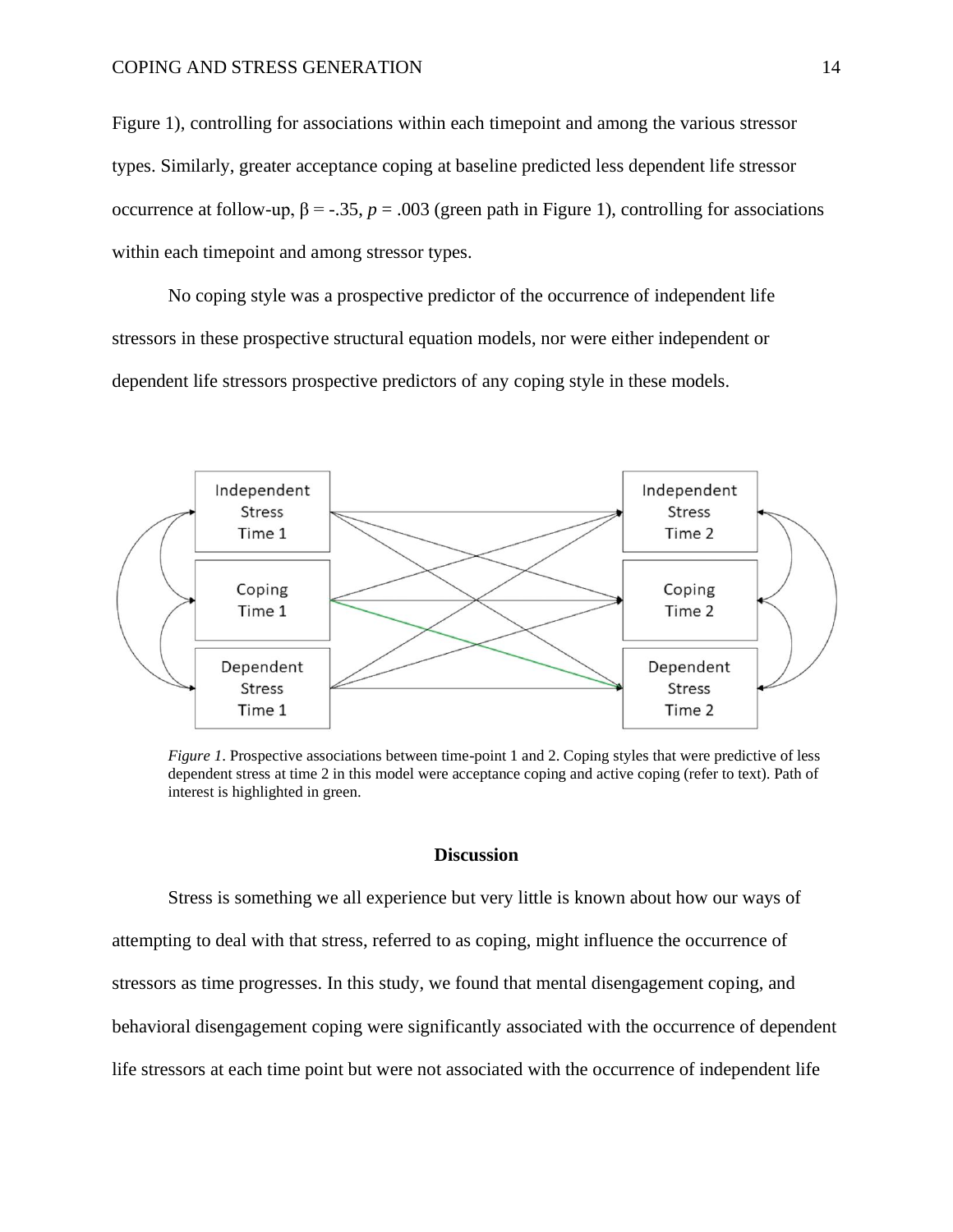Figure 1), controlling for associations within each timepoint and among the various stressor types. Similarly, greater acceptance coping at baseline predicted less dependent life stressor occurrence at follow-up,  $β = -.35$ ,  $p = .003$  (green path in Figure 1), controlling for associations within each timepoint and among stressor types.

No coping style was a prospective predictor of the occurrence of independent life stressors in these prospective structural equation models, nor were either independent or dependent life stressors prospective predictors of any coping style in these models.



*Figure 1*. Prospective associations between time-point 1 and 2. Coping styles that were predictive of less dependent stress at time 2 in this model were acceptance coping and active coping (refer to text). Path of interest is highlighted in green.

#### **Discussion**

Stress is something we all experience but very little is known about how our ways of attempting to deal with that stress, referred to as coping, might influence the occurrence of stressors as time progresses. In this study, we found that mental disengagement coping, and behavioral disengagement coping were significantly associated with the occurrence of dependent life stressors at each time point but were not associated with the occurrence of independent life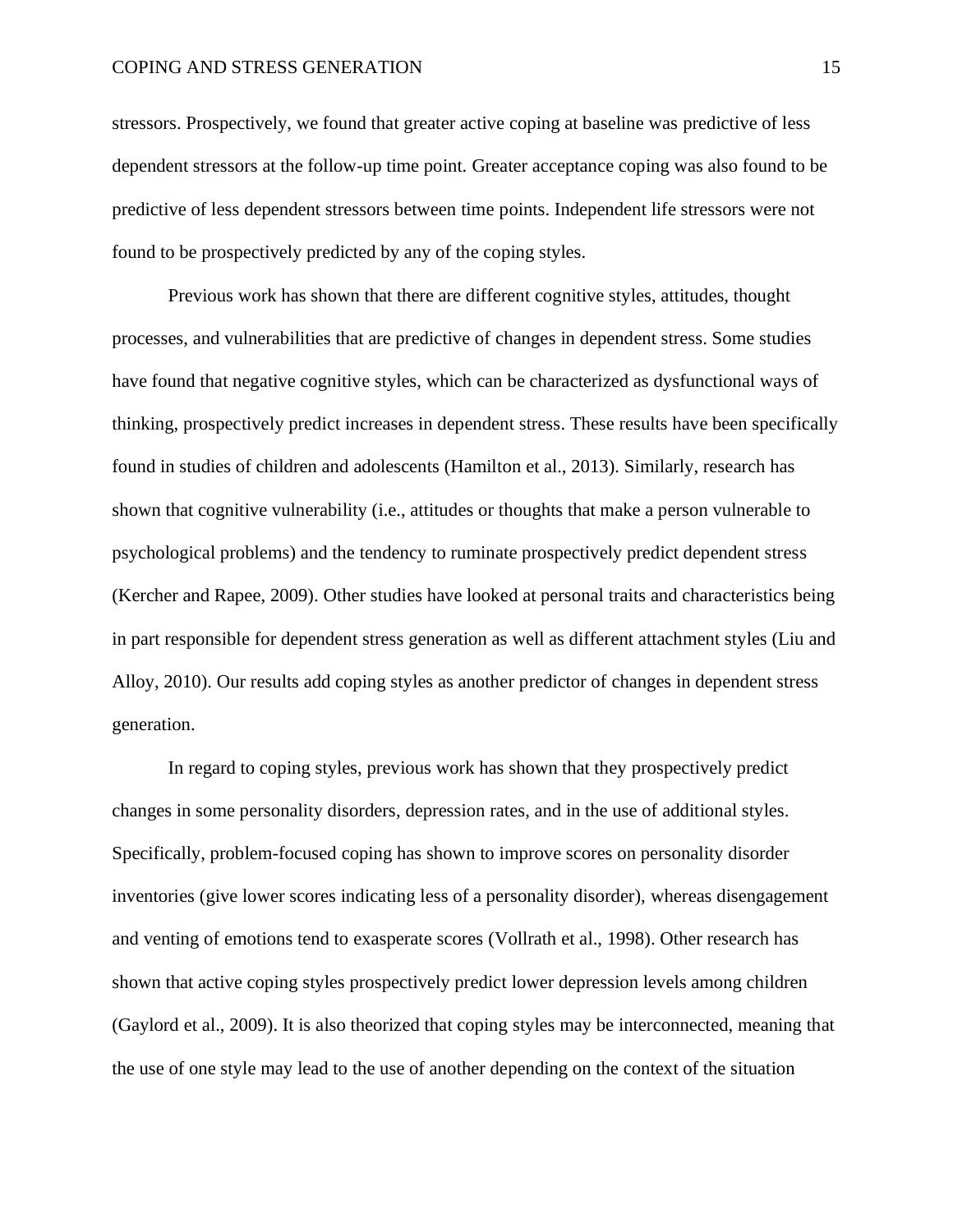stressors. Prospectively, we found that greater active coping at baseline was predictive of less dependent stressors at the follow-up time point. Greater acceptance coping was also found to be predictive of less dependent stressors between time points. Independent life stressors were not found to be prospectively predicted by any of the coping styles.

Previous work has shown that there are different cognitive styles, attitudes, thought processes, and vulnerabilities that are predictive of changes in dependent stress. Some studies have found that negative cognitive styles, which can be characterized as dysfunctional ways of thinking, prospectively predict increases in dependent stress. These results have been specifically found in studies of children and adolescents (Hamilton et al., 2013). Similarly, research has shown that cognitive vulnerability (i.e., attitudes or thoughts that make a person vulnerable to psychological problems) and the tendency to ruminate prospectively predict dependent stress (Kercher and Rapee, 2009). Other studies have looked at personal traits and characteristics being in part responsible for dependent stress generation as well as different attachment styles (Liu and Alloy, 2010). Our results add coping styles as another predictor of changes in dependent stress generation.

In regard to coping styles, previous work has shown that they prospectively predict changes in some personality disorders, depression rates, and in the use of additional styles. Specifically, problem-focused coping has shown to improve scores on personality disorder inventories (give lower scores indicating less of a personality disorder), whereas disengagement and venting of emotions tend to exasperate scores (Vollrath et al., 1998). Other research has shown that active coping styles prospectively predict lower depression levels among children (Gaylord et al., 2009). It is also theorized that coping styles may be interconnected, meaning that the use of one style may lead to the use of another depending on the context of the situation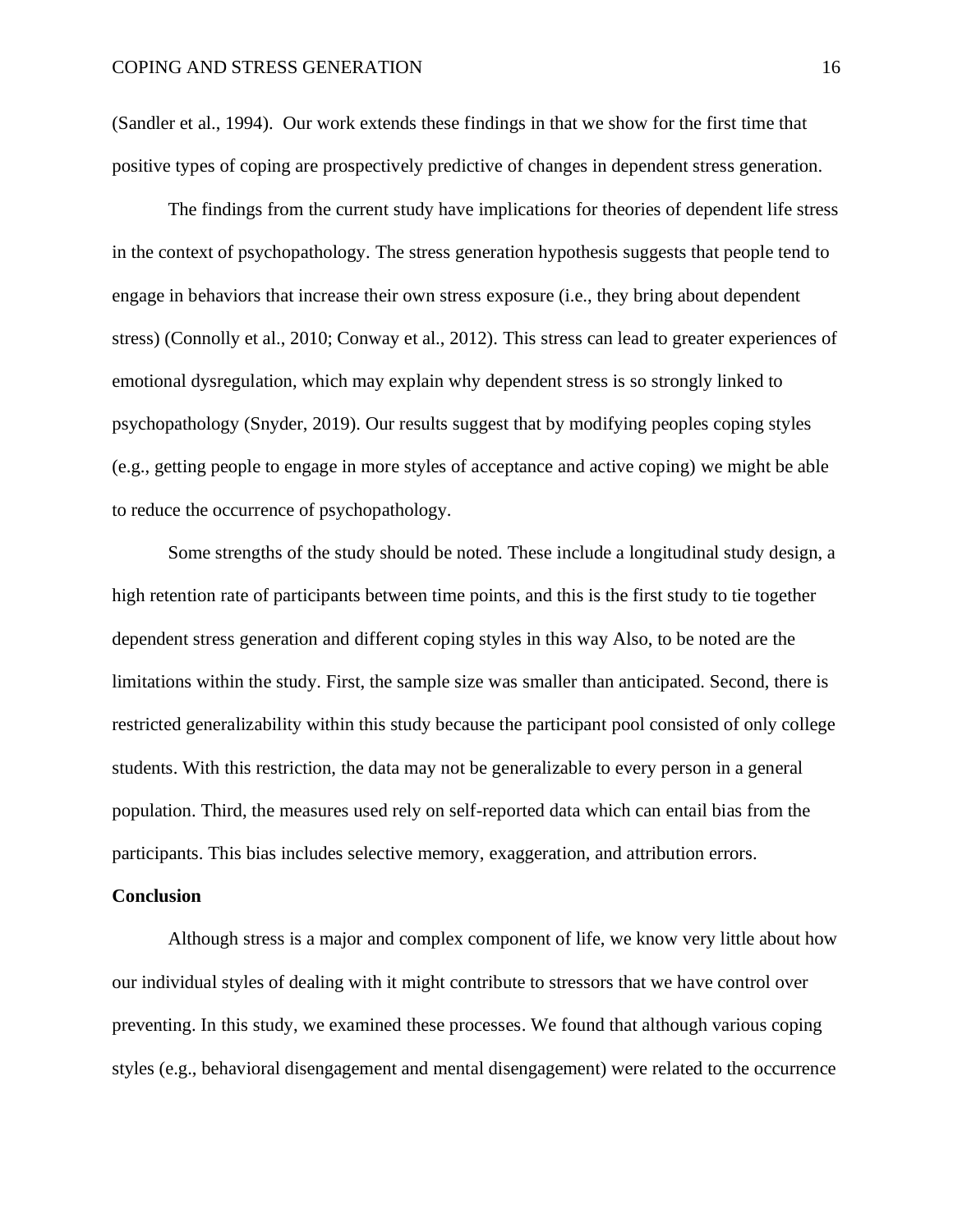(Sandler et al., 1994). Our work extends these findings in that we show for the first time that positive types of coping are prospectively predictive of changes in dependent stress generation.

The findings from the current study have implications for theories of dependent life stress in the context of psychopathology. The stress generation hypothesis suggests that people tend to engage in behaviors that increase their own stress exposure (i.e., they bring about dependent stress) (Connolly et al., 2010; Conway et al., 2012). This stress can lead to greater experiences of emotional dysregulation, which may explain why dependent stress is so strongly linked to psychopathology (Snyder, 2019). Our results suggest that by modifying peoples coping styles (e.g., getting people to engage in more styles of acceptance and active coping) we might be able to reduce the occurrence of psychopathology.

Some strengths of the study should be noted. These include a longitudinal study design, a high retention rate of participants between time points, and this is the first study to tie together dependent stress generation and different coping styles in this way Also, to be noted are the limitations within the study. First, the sample size was smaller than anticipated. Second, there is restricted generalizability within this study because the participant pool consisted of only college students. With this restriction, the data may not be generalizable to every person in a general population. Third, the measures used rely on self-reported data which can entail bias from the participants. This bias includes selective memory, exaggeration, and attribution errors.

#### **Conclusion**

Although stress is a major and complex component of life, we know very little about how our individual styles of dealing with it might contribute to stressors that we have control over preventing. In this study, we examined these processes. We found that although various coping styles (e.g., behavioral disengagement and mental disengagement) were related to the occurrence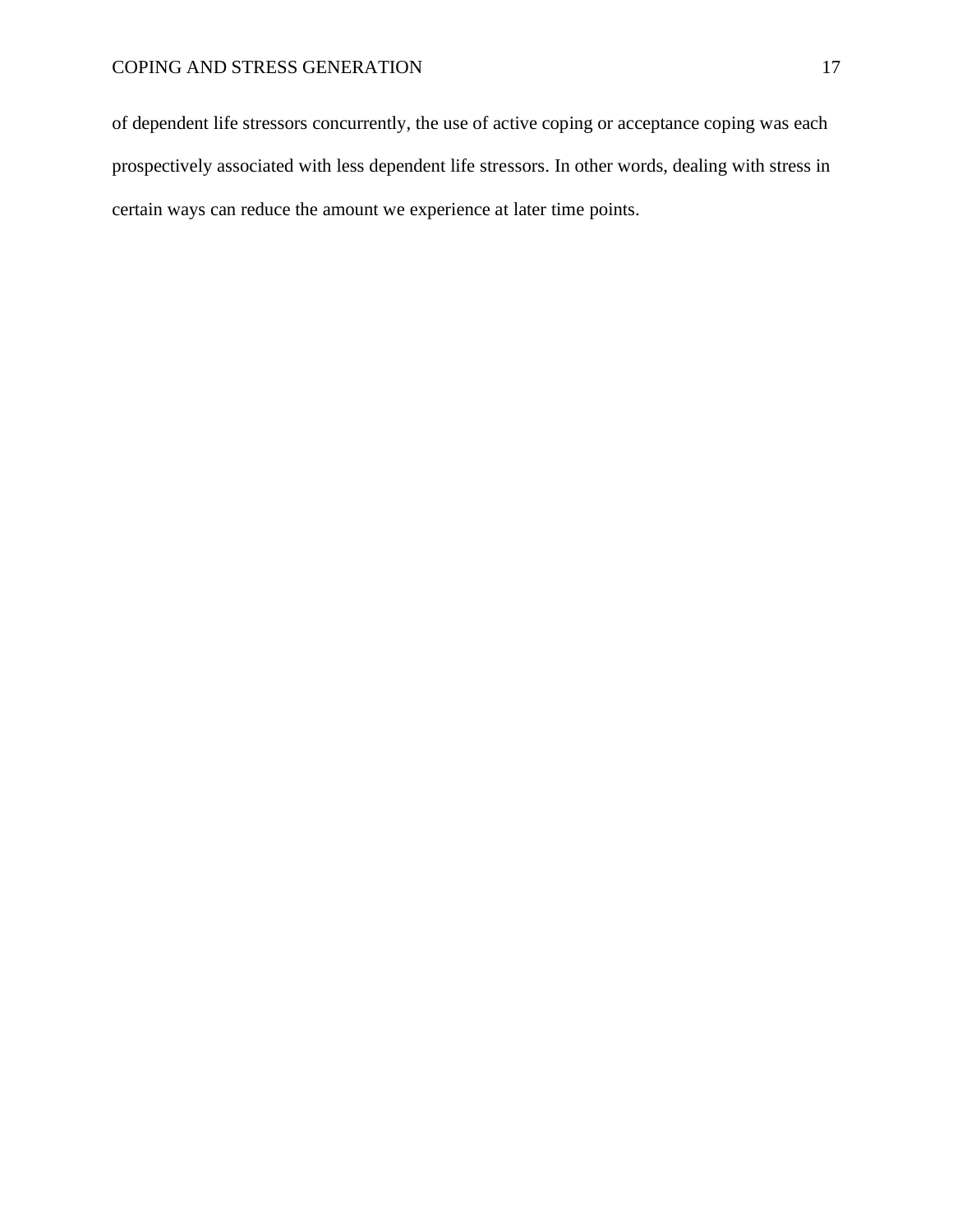of dependent life stressors concurrently, the use of active coping or acceptance coping was each prospectively associated with less dependent life stressors. In other words, dealing with stress in certain ways can reduce the amount we experience at later time points.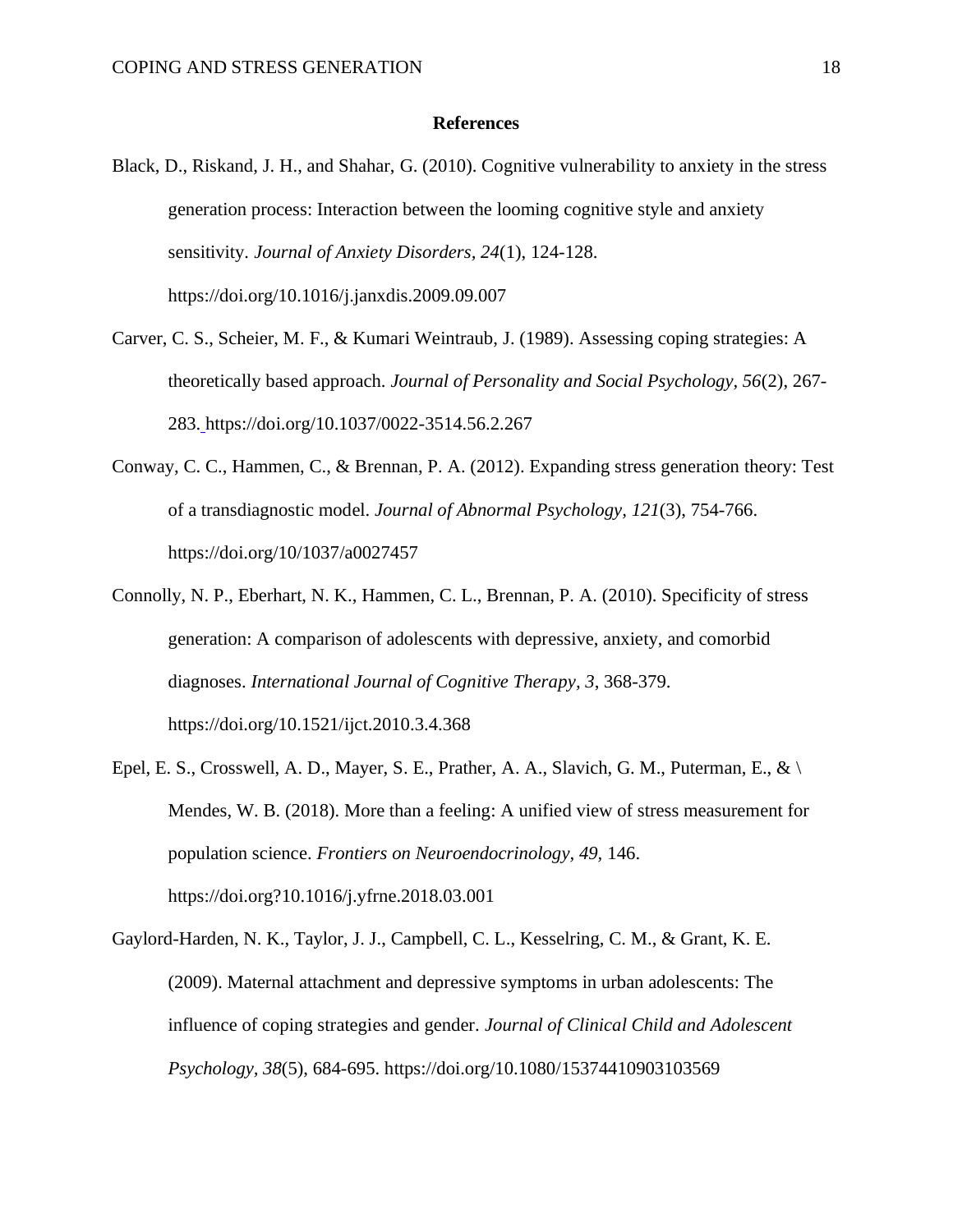#### **References**

- Black, D., Riskand, J. H., and Shahar, G. (2010). Cognitive vulnerability to anxiety in the stress generation process: Interaction between the looming cognitive style and anxiety sensitivity. *Journal of Anxiety Disorders, 24*(1), 124-128. https://doi.org/10.1016/j.janxdis.2009.09.007
- Carver, C. S., Scheier, M. F., & Kumari Weintraub, J. (1989). Assessing coping strategies: A theoretically based approach. *Journal of Personality and Social Psychology, 56*(2), 267- 283. https://doi.org/10.1037/0022-3514.56.2.267
- Conway, C. C., Hammen, C., & Brennan, P. A. (2012). Expanding stress generation theory: Test of a transdiagnostic model. *Journal of Abnormal Psychology, 121*(3), 754-766. https://doi.org/10/1037/a0027457
- Connolly, N. P., Eberhart, N. K., Hammen, C. L., Brennan, P. A. (2010). Specificity of stress generation: A comparison of adolescents with depressive, anxiety, and comorbid diagnoses. *International Journal of Cognitive Therapy, 3*, 368-379. https://doi.org/10.1521/ijct.2010.3.4.368
- Epel, E. S., Crosswell, A. D., Mayer, S. E., Prather, A. A., Slavich, G. M., Puterman, E., &  $\setminus$ Mendes, W. B. (2018). More than a feeling: A unified view of stress measurement for population science. *Frontiers on Neuroendocrinology, 49,* 146. https://doi.org?10.1016/j.yfrne.2018.03.001
- Gaylord-Harden, N. K., Taylor, J. J., Campbell, C. L., Kesselring, C. M., & Grant, K. E. (2009). Maternal attachment and depressive symptoms in urban adolescents: The influence of coping strategies and gender. *Journal of Clinical Child and Adolescent Psychology, 38*(5), 684-695. https://doi.org/10.1080/15374410903103569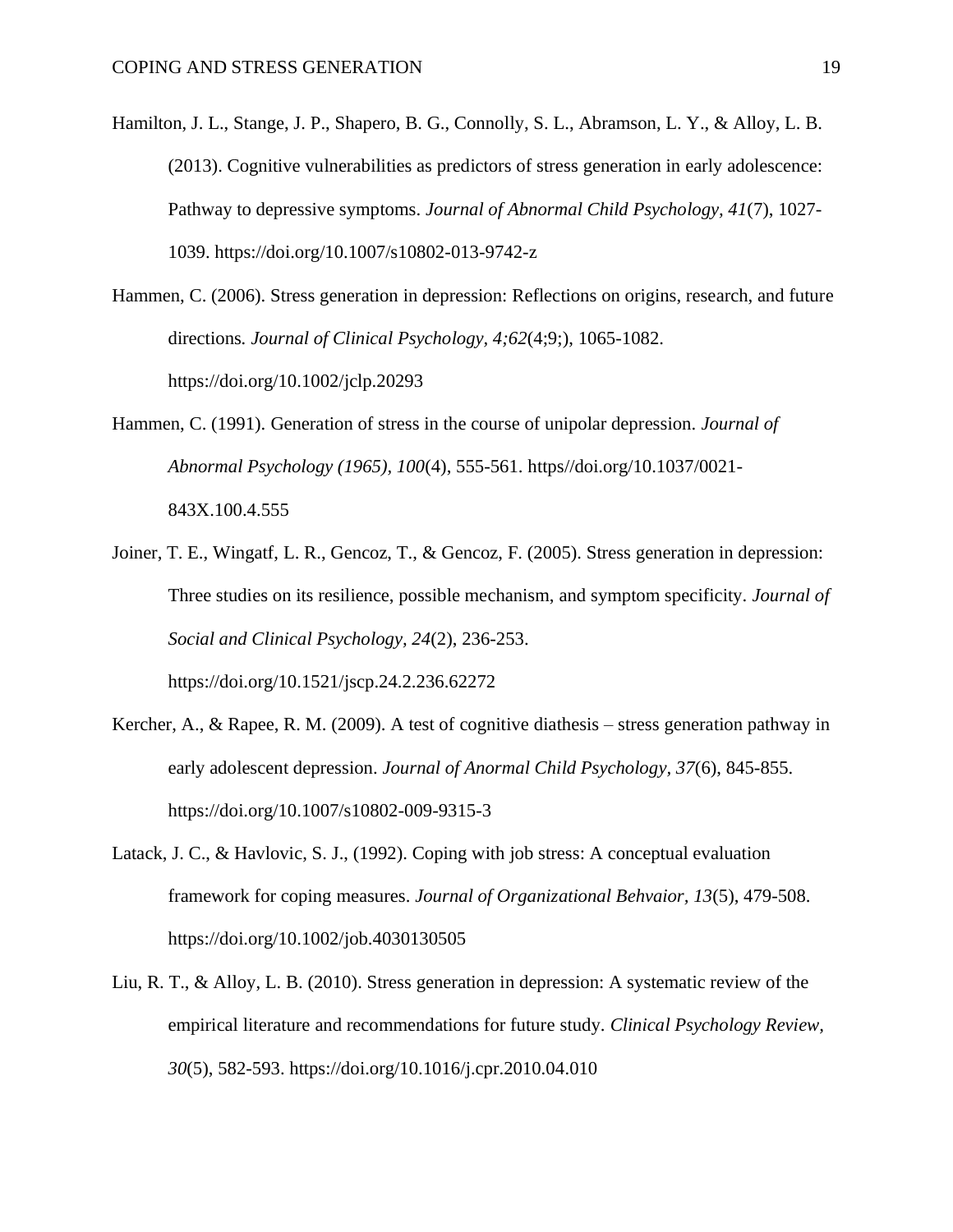- Hamilton, J. L., Stange, J. P., Shapero, B. G., Connolly, S. L., Abramson, L. Y., & Alloy, L. B. (2013). Cognitive vulnerabilities as predictors of stress generation in early adolescence: Pathway to depressive symptoms. *Journal of Abnormal Child Psychology, 41*(7), 1027- 1039. https://doi.org/10.1007/s10802-013-9742-z
- Hammen, C. (2006). Stress generation in depression: Reflections on origins, research, and future directions*. Journal of Clinical Psychology, 4;62*(4;9;), 1065-1082. https://doi.org/10.1002/jclp.20293
- Hammen, C. (1991). Generation of stress in the course of unipolar depression. *Journal of Abnormal Psychology (1965), 100*(4), 555-561. https//doi.org/10.1037/0021- 843X.100.4.555
- Joiner, T. E., Wingatf, L. R., Gencoz, T., & Gencoz, F. (2005). Stress generation in depression: Three studies on its resilience, possible mechanism, and symptom specificity. *Journal of Social and Clinical Psychology, 24*(2), 236-253. https://doi.org/10.1521/jscp.24.2.236.62272
- Kercher, A., & Rapee, R. M. (2009). A test of cognitive diathesis stress generation pathway in early adolescent depression. *Journal of Anormal Child Psychology, 37*(6), 845-855. https://doi.org/10.1007/s10802-009-9315-3
- Latack, J. C., & Havlovic, S. J., (1992). Coping with job stress: A conceptual evaluation framework for coping measures. *Journal of Organizational Behvaior, 13*(5), 479-508. https://doi.org/10.1002/job.4030130505
- Liu, R. T., & Alloy, L. B. (2010). Stress generation in depression: A systematic review of the empirical literature and recommendations for future study. *Clinical Psychology Review, 30*(5), 582-593. https://doi.org/10.1016/j.cpr.2010.04.010